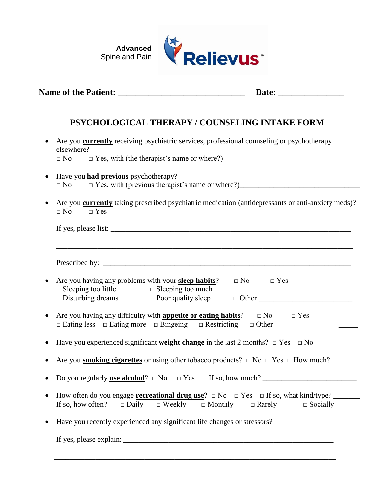

| PSYCHOLOGICAL THERAPY / COUNSELING INTAKE FORM                                                                                                                                 |
|--------------------------------------------------------------------------------------------------------------------------------------------------------------------------------|
| Are you <b>currently</b> receiving psychiatric services, professional counseling or psychotherapy<br>elsewhere?<br>$\Box$ No                                                   |
| Have you <b>had previous</b> psychotherapy?<br>$\Box$ No                                                                                                                       |
| Are you <b>currently</b> taking prescribed psychiatric medication (antidepressants or anti-anxiety meds)?<br>$\Box$ No<br>$\Box$ Yes                                           |
|                                                                                                                                                                                |
| Are you having any problems with your <b>sleep habits</b> ? $\Box$ No $\Box$ Yes                                                                                               |
| $\Box$ Sleeping too little $\Box$ Sleeping too much                                                                                                                            |
| Are you having any difficulty with <b>appetite or eating habits</b> ? $\Box$ No $\Box$ Yes<br>□ Eating less □ Eating more □ Bingeing □ Restricting □ Other ___________________ |
| Have you experienced significant <b>weight change</b> in the last 2 months? $\Box$ Yes $\Box$ No                                                                               |
| Are you <b>smoking cigarettes</b> or using other tobacco products? $\Box$ No $\Box$ Yes $\Box$ How much?                                                                       |
|                                                                                                                                                                                |
| If so, how often? $\square$ Daily $\square$ Weekly $\square$ Monthly $\square$ Rarely $\square$ Socially                                                                       |
| Have you recently experienced any significant life changes or stressors?                                                                                                       |
|                                                                                                                                                                                |

\_\_\_\_\_\_\_\_\_\_\_\_\_\_\_\_\_\_\_\_\_\_\_\_\_\_\_\_\_\_\_\_\_\_\_\_\_\_\_\_\_\_\_\_\_\_\_\_\_\_\_\_\_\_\_\_\_\_\_\_\_\_\_\_\_\_\_\_\_\_\_\_\_\_\_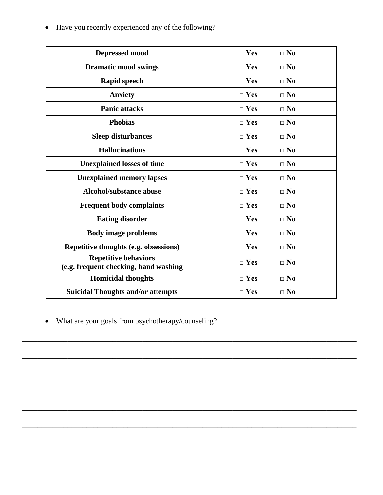| Depressed mood                                                       | $\Box$ Yes | $\square$ No |
|----------------------------------------------------------------------|------------|--------------|
| <b>Dramatic mood swings</b>                                          | $\Box$ Yes | $\square$ No |
| <b>Rapid speech</b>                                                  | $\Box$ Yes | $\square$ No |
| <b>Anxiety</b>                                                       | $\Box$ Yes | $\square$ No |
| <b>Panic attacks</b>                                                 | $\Box$ Yes | $\square$ No |
| <b>Phobias</b>                                                       | $\Box$ Yes | $\Box$ No    |
| <b>Sleep disturbances</b>                                            | $\Box$ Yes | $\Box$ No    |
| <b>Hallucinations</b>                                                | $\Box$ Yes | $\square$ No |
| <b>Unexplained losses of time</b>                                    | $\Box$ Yes | $\square$ No |
| <b>Unexplained memory lapses</b>                                     | $\Box$ Yes | $\square$ No |
| <b>Alcohol/substance abuse</b>                                       | $\Box$ Yes | $\square$ No |
| <b>Frequent body complaints</b>                                      | $\Box$ Yes | $\Box$ No    |
| <b>Eating disorder</b>                                               | $\Box$ Yes | $\square$ No |
| <b>Body image problems</b>                                           | $\Box$ Yes | $\square$ No |
| Repetitive thoughts (e.g. obsessions)                                | $\Box$ Yes | $\square$ No |
| <b>Repetitive behaviors</b><br>(e.g. frequent checking, hand washing | $\Box$ Yes | $\square$ No |
| <b>Homicidal thoughts</b>                                            | $\Box$ Yes | $\square$ No |
| <b>Suicidal Thoughts and/or attempts</b>                             | $\Box$ Yes | $\square$ No |

\_\_\_\_\_\_\_\_\_\_\_\_\_\_\_\_\_\_\_\_\_\_\_\_\_\_\_\_\_\_\_\_\_\_\_\_\_\_\_\_\_\_\_\_\_\_\_\_\_\_\_\_\_\_\_\_\_\_\_\_\_\_\_\_\_\_\_\_\_\_\_\_\_\_\_\_\_\_\_\_\_\_\_\_\_\_\_\_\_

\_\_\_\_\_\_\_\_\_\_\_\_\_\_\_\_\_\_\_\_\_\_\_\_\_\_\_\_\_\_\_\_\_\_\_\_\_\_\_\_\_\_\_\_\_\_\_\_\_\_\_\_\_\_\_\_\_\_\_\_\_\_\_\_\_\_\_\_\_\_\_\_\_\_\_\_\_\_\_\_\_\_\_\_\_\_\_\_\_

\_\_\_\_\_\_\_\_\_\_\_\_\_\_\_\_\_\_\_\_\_\_\_\_\_\_\_\_\_\_\_\_\_\_\_\_\_\_\_\_\_\_\_\_\_\_\_\_\_\_\_\_\_\_\_\_\_\_\_\_\_\_\_\_\_\_\_\_\_\_\_\_\_\_\_\_\_\_\_\_\_\_\_\_\_\_\_\_\_

\_\_\_\_\_\_\_\_\_\_\_\_\_\_\_\_\_\_\_\_\_\_\_\_\_\_\_\_\_\_\_\_\_\_\_\_\_\_\_\_\_\_\_\_\_\_\_\_\_\_\_\_\_\_\_\_\_\_\_\_\_\_\_\_\_\_\_\_\_\_\_\_\_\_\_\_\_\_\_\_\_\_\_\_\_\_\_\_\_

\_\_\_\_\_\_\_\_\_\_\_\_\_\_\_\_\_\_\_\_\_\_\_\_\_\_\_\_\_\_\_\_\_\_\_\_\_\_\_\_\_\_\_\_\_\_\_\_\_\_\_\_\_\_\_\_\_\_\_\_\_\_\_\_\_\_\_\_\_\_\_\_\_\_\_\_\_\_\_\_\_\_\_\_\_\_\_\_\_

\_\_\_\_\_\_\_\_\_\_\_\_\_\_\_\_\_\_\_\_\_\_\_\_\_\_\_\_\_\_\_\_\_\_\_\_\_\_\_\_\_\_\_\_\_\_\_\_\_\_\_\_\_\_\_\_\_\_\_\_\_\_\_\_\_\_\_\_\_\_\_\_\_\_\_\_\_\_\_\_\_\_\_\_\_\_\_\_\_

\_\_\_\_\_\_\_\_\_\_\_\_\_\_\_\_\_\_\_\_\_\_\_\_\_\_\_\_\_\_\_\_\_\_\_\_\_\_\_\_\_\_\_\_\_\_\_\_\_\_\_\_\_\_\_\_\_\_\_\_\_\_\_\_\_\_\_\_\_\_\_\_\_\_\_\_\_\_\_\_\_\_\_\_\_\_\_\_\_

• Have you recently experienced any of the following?

• What are your goals from psychotherapy/counseling?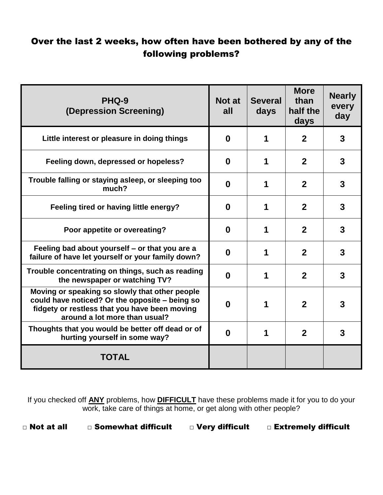## Over the last 2 weeks, how often have been bothered by any of the following problems?

| PHQ-9<br>(Depression Screening)                                                                                                                                                    | Not at<br>all | <b>Several</b><br>days | <b>More</b><br>than<br>half the<br>days | <b>Nearly</b><br>every<br>day |
|------------------------------------------------------------------------------------------------------------------------------------------------------------------------------------|---------------|------------------------|-----------------------------------------|-------------------------------|
| Little interest or pleasure in doing things                                                                                                                                        | $\bf{0}$      | 1                      | $\mathbf{2}$                            | 3                             |
| Feeling down, depressed or hopeless?                                                                                                                                               | $\bf{0}$      | 1                      | $\mathbf{2}$                            | 3                             |
| Trouble falling or staying asleep, or sleeping too<br>much?                                                                                                                        | $\bf{0}$      | 1                      | $\mathbf{2}$                            | 3                             |
| Feeling tired or having little energy?                                                                                                                                             | $\bf{0}$      | 1                      | $\mathbf{2}$                            | 3                             |
| Poor appetite or overeating?                                                                                                                                                       | $\bf{0}$      | 1                      | $\mathbf{2}$                            | 3                             |
| Feeling bad about yourself – or that you are a<br>failure of have let yourself or your family down?                                                                                | $\bf{0}$      | 1                      | $\mathbf{2}$                            | 3                             |
| Trouble concentrating on things, such as reading<br>the newspaper or watching TV?                                                                                                  | $\bf{0}$      | 1                      | $\mathbf{2}$                            | 3                             |
| Moving or speaking so slowly that other people<br>could have noticed? Or the opposite - being so<br>fidgety or restless that you have been moving<br>around a lot more than usual? | $\bf{0}$      | 1                      | $\mathbf{2}$                            | 3                             |
| Thoughts that you would be better off dead or of<br>hurting yourself in some way?                                                                                                  | $\bf{0}$      | 1                      | $\mathbf{2}$                            | 3                             |
| <b>TOTAL</b>                                                                                                                                                                       |               |                        |                                         |                               |

If you checked off **ANY** problems, how **DIFFICULT** have these problems made it for you to do your work, take care of things at home, or get along with other people?

□ Not at all □ Somewhat difficult □ Very difficult □ Extremely difficult